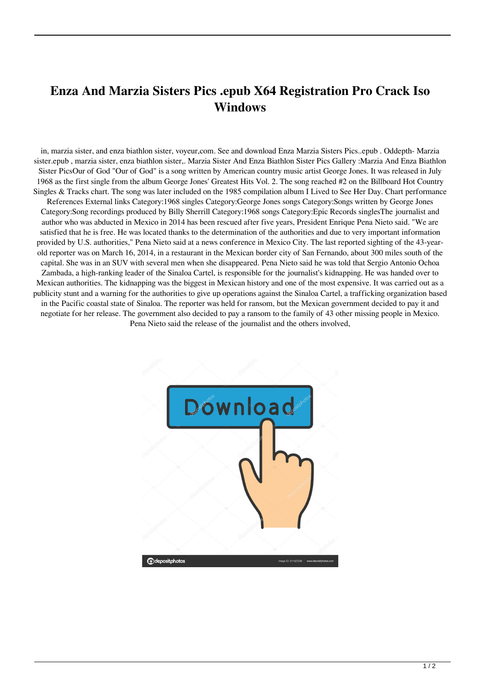## **Enza And Marzia Sisters Pics .epub X64 Registration Pro Crack Iso Windows**

in, marzia sister, and enza biathlon sister, voyeur,com. See and download Enza Marzia Sisters Pics..epub . Oddepth- Marzia sister.epub , marzia sister, enza biathlon sister,. Marzia Sister And Enza Biathlon Sister Pics Gallery :Marzia And Enza Biathlon Sister PicsOur of God "Our of God" is a song written by American country music artist George Jones. It was released in July 1968 as the first single from the album George Jones' Greatest Hits Vol. 2. The song reached #2 on the Billboard Hot Country Singles & Tracks chart. The song was later included on the 1985 compilation album I Lived to See Her Day. Chart performance References External links Category:1968 singles Category:George Jones songs Category:Songs written by George Jones Category:Song recordings produced by Billy Sherrill Category:1968 songs Category:Epic Records singlesThe journalist and author who was abducted in Mexico in 2014 has been rescued after five years, President Enrique Pena Nieto said. "We are satisfied that he is free. He was located thanks to the determination of the authorities and due to very important information provided by U.S. authorities," Pena Nieto said at a news conference in Mexico City. The last reported sighting of the 43-yearold reporter was on March 16, 2014, in a restaurant in the Mexican border city of San Fernando, about 300 miles south of the capital. She was in an SUV with several men when she disappeared. Pena Nieto said he was told that Sergio Antonio Ochoa Zambada, a high-ranking leader of the Sinaloa Cartel, is responsible for the journalist's kidnapping. He was handed over to Mexican authorities. The kidnapping was the biggest in Mexican history and one of the most expensive. It was carried out as a publicity stunt and a warning for the authorities to give up operations against the Sinaloa Cartel, a trafficking organization based in the Pacific coastal state of Sinaloa. The reporter was held for ransom, but the Mexican government decided to pay it and negotiate for her release. The government also decided to pay a ransom to the family of 43 other missing people in Mexico. Pena Nieto said the release of the journalist and the others involved,